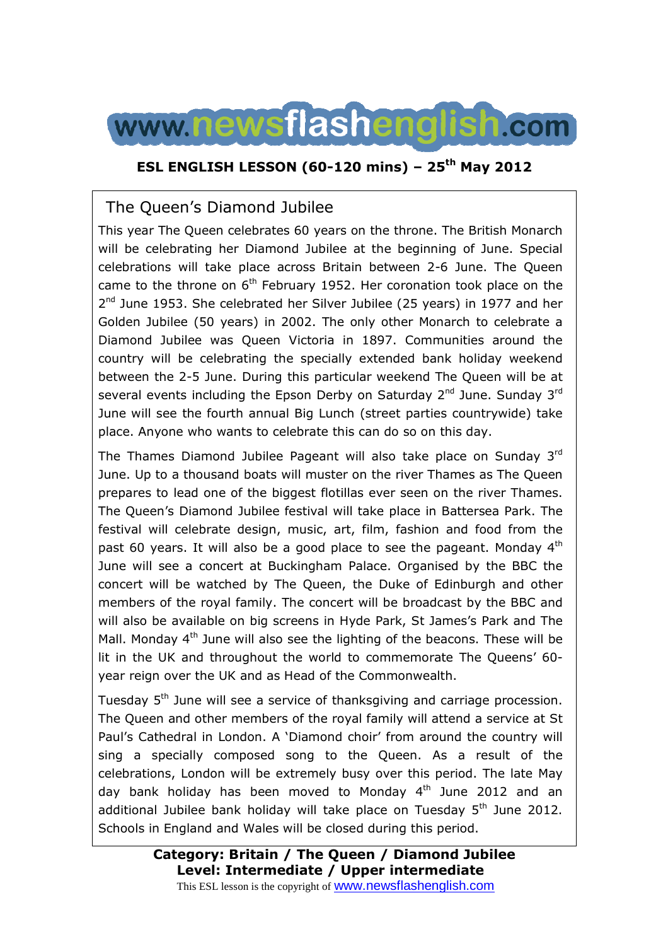

### **ESL ENGLISH LESSON (60-120 mins) – 25th May 2012**

## The Queen's Diamond Jubilee

This year The Queen celebrates 60 years on the throne. The British Monarch will be celebrating her Diamond Jubilee at the beginning of June. Special celebrations will take place across Britain between 2-6 June. The Queen came to the throne on  $6<sup>th</sup>$  February 1952. Her coronation took place on the 2<sup>nd</sup> June 1953. She celebrated her Silver Jubilee (25 years) in 1977 and her Golden Jubilee (50 years) in 2002. The only other Monarch to celebrate a Diamond Jubilee was Queen Victoria in 1897. Communities around the country will be celebrating the specially extended bank holiday weekend between the 2-5 June. During this particular weekend The Queen will be at several events including the Epson Derby on Saturday  $2^{nd}$  June. Sunday  $3^{rd}$ June will see the fourth annual Big Lunch (street parties countrywide) take place. Anyone who wants to celebrate this can do so on this day.

The Thames Diamond Jubilee Pageant will also take place on Sunday 3rd June. Up to a thousand boats will muster on the river Thames as The Queen prepares to lead one of the biggest flotillas ever seen on the river Thames. The Queen's Diamond Jubilee festival will take place in Battersea Park. The festival will celebrate design, music, art, film, fashion and food from the past 60 years. It will also be a good place to see the pageant. Monday  $4<sup>th</sup>$ June will see a concert at Buckingham Palace. Organised by the BBC the concert will be watched by The Queen, the Duke of Edinburgh and other members of the royal family. The concert will be broadcast by the BBC and will also be available on big screens in Hyde Park, St James's Park and The Mall. Monday 4<sup>th</sup> June will also see the lighting of the beacons. These will be lit in the UK and throughout the world to commemorate The Queens' 60 year reign over the UK and as Head of the Commonwealth.

Tuesday 5<sup>th</sup> June will see a service of thanksgiving and carriage procession. The Queen and other members of the royal family will attend a service at St Paul's Cathedral in London. A 'Diamond choir' from around the country will sing a specially composed song to the Queen. As a result of the celebrations, London will be extremely busy over this period. The late May day bank holiday has been moved to Monday  $4<sup>th</sup>$  June 2012 and an additional Jubilee bank holiday will take place on Tuesday  $5<sup>th</sup>$  June 2012. Schools in England and Wales will be closed during this period.

> **Category: Britain / The Queen / Diamond Jubilee Level: Intermediate / Upper intermediate**

This ESL lesson is the copyright of **WWW.newsflashenglish.com**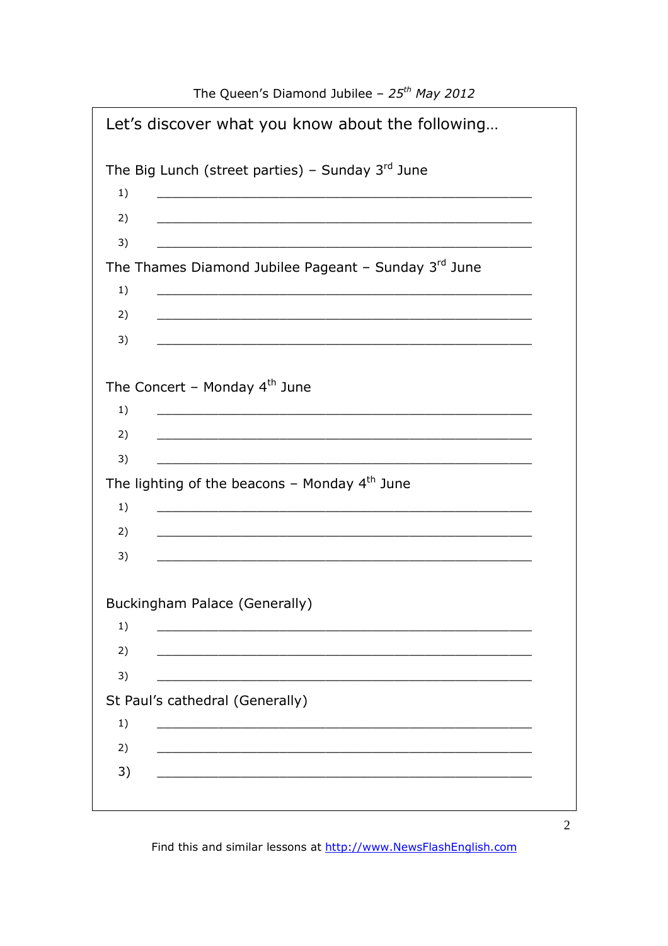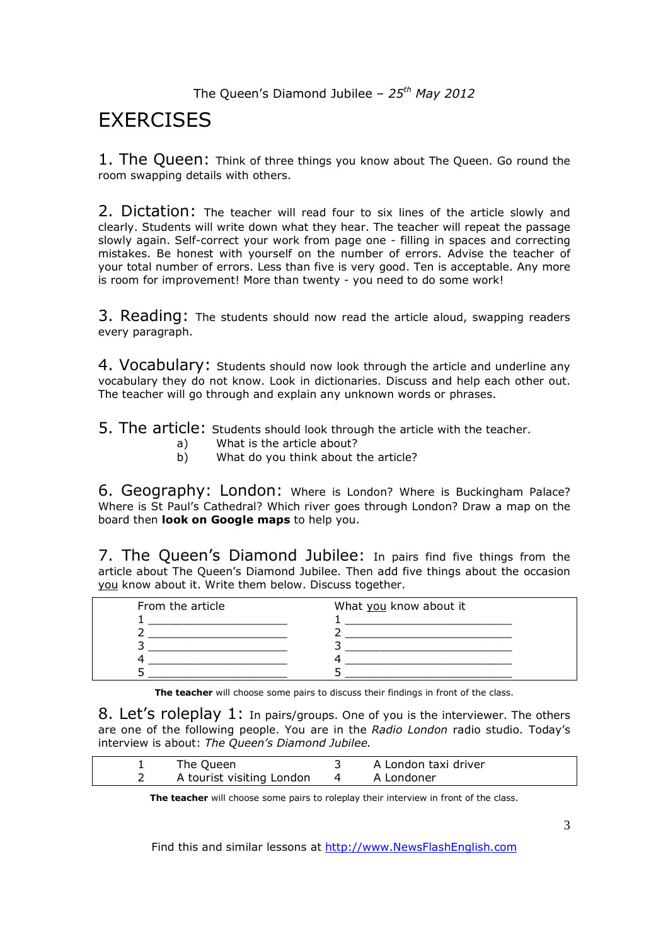# **EXERCISES**

1. The Queen: Think of three things you know about The Queen. Go round the room swapping details with others.

2. Dictation: The teacher will read four to six lines of the article slowly and clearly. Students will write down what they hear. The teacher will repeat the passage slowly again. Self-correct your work from page one - filling in spaces and correcting mistakes. Be honest with yourself on the number of errors. Advise the teacher of your total number of errors. Less than five is very good. Ten is acceptable. Any more is room for improvement! More than twenty - you need to do some work!

3. Reading: The students should now read the article aloud, swapping readers every paragraph.

4. Vocabulary: Students should now look through the article and underline any vocabulary they do not know. Look in dictionaries. Discuss and help each other out. The teacher will go through and explain any unknown words or phrases.

5. The article: Students should look through the article with the teacher.

- a) What is the article about?
- b) What do you think about the article?

6. Geography: London: Where is London? Where is Buckingham Palace? Where is St Paul's Cathedral? Which river goes through London? Draw a map on the board then **look on Google maps** to help you.

7. The Queen's Diamond Jubilee: In pairs find five things from the article about The Queen's Diamond Jubilee. Then add five things about the occasion you know about it. Write them below. Discuss together.

| From the article | What you know about it |
|------------------|------------------------|
|                  |                        |
|                  |                        |
|                  |                        |
|                  |                        |
|                  |                        |

**The teacher** will choose some pairs to discuss their findings in front of the class.

8. Let's roleplay 1: In pairs/groups. One of you is the interviewer. The others are one of the following people. You are in the *Radio London* radio studio. Today's interview is about: *The Queen's Diamond Jubilee.* 

| The Queen                 |   | A London taxi driver |
|---------------------------|---|----------------------|
| A tourist visiting London | 4 | A Londoner           |

**The teacher** will choose some pairs to roleplay their interview in front of the class.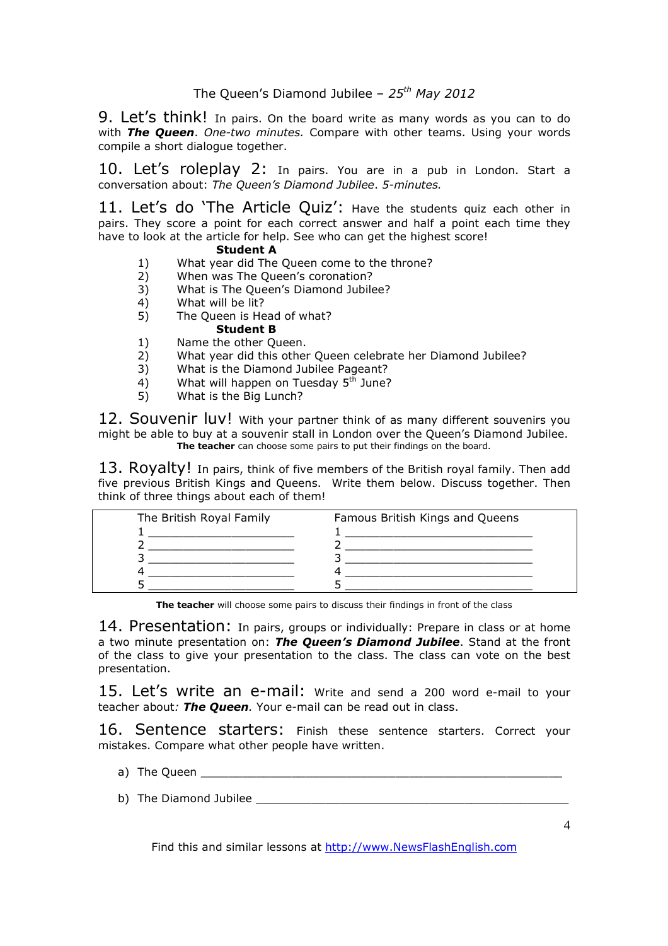9. Let's think! In pairs. On the board write as many words as you can to do with *The Queen*. *One-two minutes.* Compare with other teams. Using your words compile a short dialogue together.

10. Let's roleplay 2: In pairs. You are in a pub in London. Start a conversation about: *The Queen's Diamond Jubilee*. *5-minutes.* 

11. Let's do 'The Article Quiz': Have the students quiz each other in pairs. They score a point for each correct answer and half a point each time they have to look at the article for help. See who can get the highest score!

#### **Student A**

- 1) What year did The Queen come to the throne?<br>2) When was The Queen's coronation?
- 2) When was The Queen's coronation?
- 3) What is The Queen's Diamond Jubilee?
- 4) What will be lit?<br>5) The Oueen is He
- The Queen is Head of what?

### **Student B**

- 1) Name the other Queen. 2) What year did this other Queen celebrate her Diamond Jubilee?
- 3) What is the Diamond Jubilee Pageant?
- 4) What will happen on Tuesday  $5<sup>th</sup>$  June?
- 5) What is the Big Lunch?

12. Souvenir luv! With your partner think of as many different souvenirs you might be able to buy at a souvenir stall in London over the Queen's Diamond Jubilee. **The teacher** can choose some pairs to put their findings on the board.

13. Royalty! In pairs, think of five members of the British royal family. Then add five previous British Kings and Queens. Write them below. Discuss together. Then think of three things about each of them!

| The British Royal Family | Famous British Kings and Queens |
|--------------------------|---------------------------------|
|                          |                                 |
|                          |                                 |
|                          |                                 |
|                          |                                 |
|                          |                                 |

**The teacher** will choose some pairs to discuss their findings in front of the class

14. Presentation: In pairs, groups or individually: Prepare in class or at home a two minute presentation on: *The Queen's Diamond Jubilee*. Stand at the front of the class to give your presentation to the class. The class can vote on the best presentation.

15. Let's write an e-mail: Write and send a 200 word e-mail to your teacher about*: The Queen.* Your e-mail can be read out in class.

16. Sentence starters: Finish these sentence starters. Correct your mistakes. Compare what other people have written.

- a) The Queen
- b) The Diamond Jubilee **Example 20**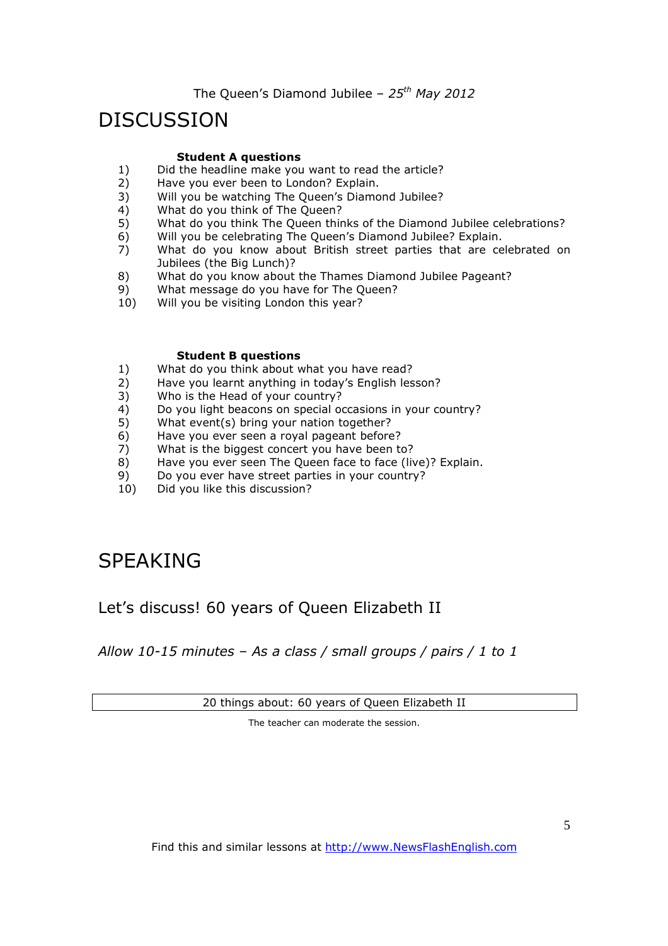# DISCUSSION

#### **Student A questions**

- 1) Did the headline make you want to read the article?<br>2) Have you ever been to London? Explain.
- 2) Have you ever been to London? Explain.<br>3) Will you be watching The Queen's Diamo
- 3) Will you be watching The Queen's Diamond Jubilee?
- 4) What do you think of The Queen?
- 5) What do you think The Queen thinks of the Diamond Jubilee celebrations?
- 6) Will you be celebrating The Queen's Diamond Jubilee? Explain.
- 7) What do you know about British street parties that are celebrated on Jubilees (the Big Lunch)?
- 8) What do you know about the Thames Diamond Jubilee Pageant?
- 9) What message do you have for The Queen?<br>10) Will you be visiting London this year?
- Will you be visiting London this year?

#### **Student B questions**

- 1) What do you think about what you have read?
- 2) Have you learnt anything in today's English lesson?
- 3) Who is the Head of your country?
- 4) Do you light beacons on special occasions in your country?
- 5) What event(s) bring your nation together?<br>6) Have you ever seen a royal pageant before
- Have you ever seen a royal pageant before?
- 7) What is the biggest concert you have been to?
- 8) Have you ever seen The Queen face to face (live)? Explain.
- 9) Do you ever have street parties in your country?
- 10) Did you like this discussion?

# SPEAKING

## Let's discuss! 60 years of Queen Elizabeth II

*Allow 10-15 minutes – As a class / small groups / pairs / 1 to 1* 

20 things about: 60 years of Queen Elizabeth II

The teacher can moderate the session.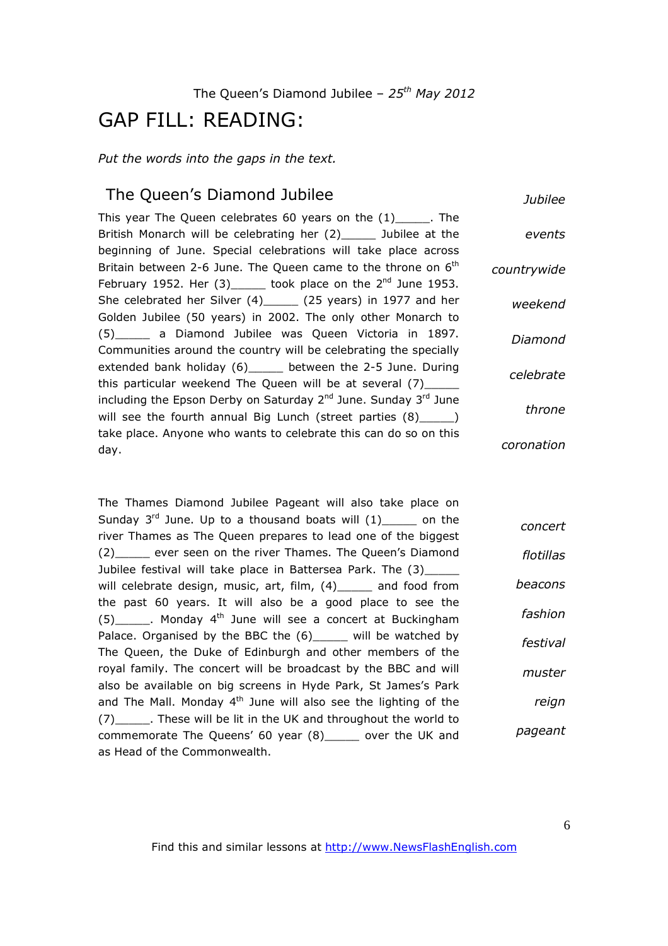# GAP FILL: READING:

*Put the words into the gaps in the text.* 

## The Queen's Diamond Jubilee

*Jubilee*

|             | This year The Queen celebrates 60 years on the $(1)$ ______. The                        |
|-------------|-----------------------------------------------------------------------------------------|
| events      | British Monarch will be celebrating her (2) ______ Jubilee at the                       |
|             | beginning of June. Special celebrations will take place across                          |
| countrywide | Britain between 2-6 June. The Queen came to the throne on $6^{\text{th}}$               |
|             | February 1952. Her $(3)$ took place on the $2^{nd}$ June 1953.                          |
| weekend     | She celebrated her Silver (4)______ (25 years) in 1977 and her                          |
|             | Golden Jubilee (50 years) in 2002. The only other Monarch to                            |
| Diamond     | (5) a Diamond Jubilee was Queen Victoria in 1897.                                       |
|             | Communities around the country will be celebrating the specially                        |
| celebrate   | extended bank holiday (6) _____ between the 2-5 June. During                            |
|             | this particular weekend The Queen will be at several $(7)$ _____                        |
|             | including the Epson Derby on Saturday 2 <sup>nd</sup> June. Sunday 3 <sup>rd</sup> June |
| throne      | will see the fourth annual Big Lunch (street parties $(8)$ $\qquad$ )                   |
|             | take place. Anyone who wants to celebrate this can do so on this                        |
| coronation  | day.                                                                                    |
|             |                                                                                         |

The Thames Diamond Jubilee Pageant will also take place on Sunday  $3^{rd}$  June. Up to a thousand boats will  $(1)$  on the river Thames as The Queen prepares to lead one of the biggest (2)\_\_\_\_\_ ever seen on the river Thames. The Queen's Diamond Jubilee festival will take place in Battersea Park. The (3)\_ will celebrate design, music, art, film, (4) and food from the past 60 years. It will also be a good place to see the  $(5)$  . Monday 4<sup>th</sup> June will see a concert at Buckingham Palace. Organised by the BBC the (6) will be watched by The Queen, the Duke of Edinburgh and other members of the royal family. The concert will be broadcast by the BBC and will also be available on big screens in Hyde Park, St James's Park and The Mall. Monday  $4<sup>th</sup>$  June will also see the lighting of the (7)\_\_\_\_\_. These will be lit in the UK and throughout the world to commemorate The Queens' 60 year (8)\_\_\_\_\_ over the UK and as Head of the Commonwealth. *concert flotillas beacons fashion festival muster reign pageant*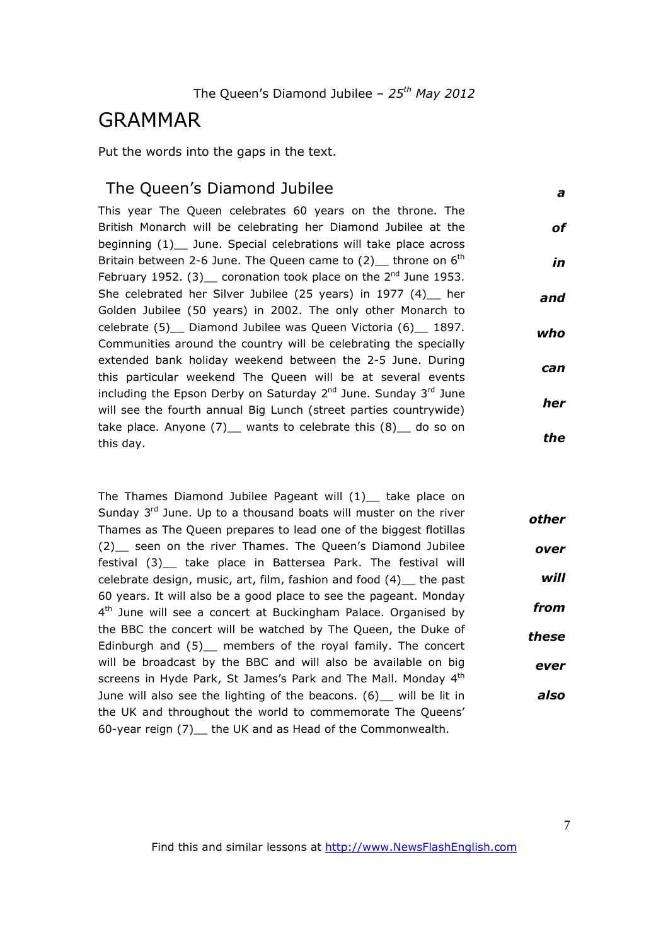## GRAMMAR

Put the words into the gaps in the text.

### The Queen's Diamond Jubilee

*a*

This year The Queen celebrates 60 years on the throne. The British Monarch will be celebrating her Diamond Jubilee at the beginning (1) June. Special celebrations will take place across Britain between 2-6 June. The Queen came to  $(2)$  throne on  $6<sup>th</sup>$ February 1952. (3) coronation took place on the  $2^{nd}$  June 1953. She celebrated her Silver Jubilee (25 years) in 1977 (4) her Golden Jubilee (50 years) in 2002. The only other Monarch to celebrate (5)\_\_ Diamond Jubilee was Queen Victoria (6)\_\_ 1897. Communities around the country will be celebrating the specially extended bank holiday weekend between the 2-5 June. During this particular weekend The Queen will be at several events including the Epson Derby on Saturday  $2^{nd}$  June. Sunday  $3^{rd}$  June will see the fourth annual Big Lunch (street parties countrywide) take place. Anyone  $(7)$  wants to celebrate this  $(8)$  do so on this day. *of in and who can her the*

The Thames Diamond Jubilee Pageant will  $(1)$  take place on Sunday  $3<sup>rd</sup>$  June. Up to a thousand boats will muster on the river Thames as The Queen prepares to lead one of the biggest flotillas (2)\_\_ seen on the river Thames. The Queen's Diamond Jubilee festival (3)\_\_ take place in Battersea Park. The festival will celebrate design, music, art, film, fashion and food (4)\_\_ the past 60 years. It will also be a good place to see the pageant. Monday 4<sup>th</sup> June will see a concert at Buckingham Palace. Organised by the BBC the concert will be watched by The Queen, the Duke of Edinburgh and (5) members of the royal family. The concert will be broadcast by the BBC and will also be available on big screens in Hyde Park, St James's Park and The Mall. Monday 4<sup>th</sup> June will also see the lighting of the beacons. (6) will be lit in the UK and throughout the world to commemorate The Queens' 60-year reign (7)\_\_ the UK and as Head of the Commonwealth. *other over will from these ever also*